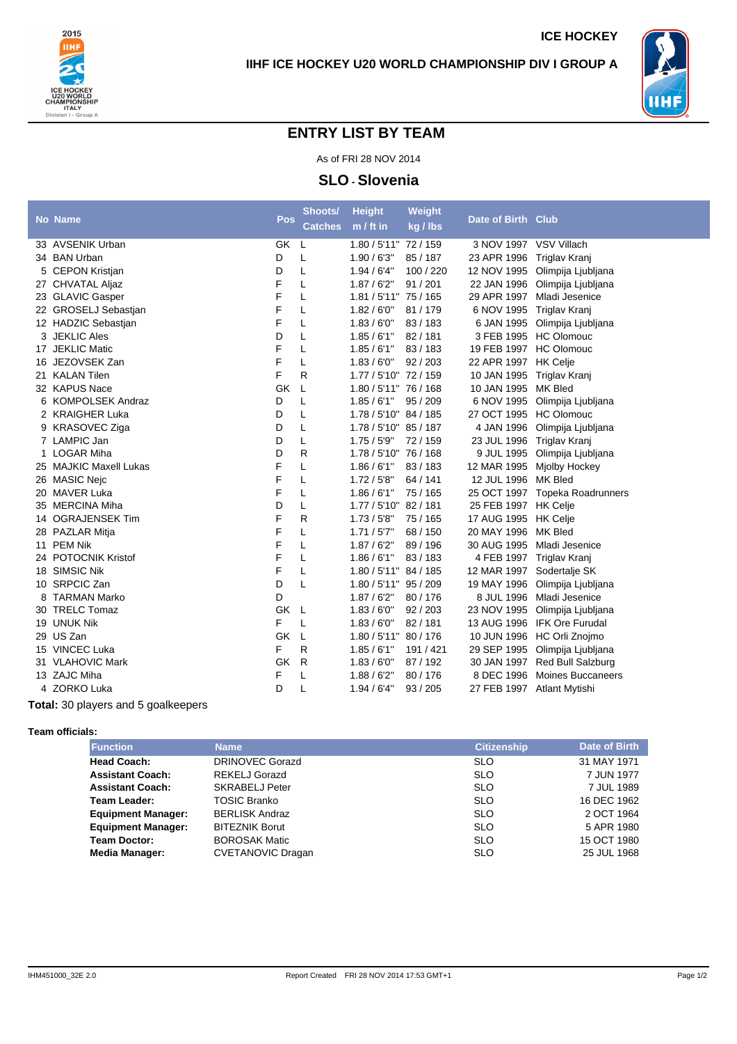



**ICE HOCKEY**

## **ENTRY LIST BY TEAM**

As of FRI 28 NOV 2014

## **SLO - Slovenia**

|   | <b>No Name</b>         | Pos       | Shoots/        | <b>Height</b>         | Weight    | Date of Birth Club         |                                |
|---|------------------------|-----------|----------------|-----------------------|-----------|----------------------------|--------------------------------|
|   |                        |           | <b>Catches</b> | $m / ft$ in           | kg / lbs  |                            |                                |
|   | 33 AVSENIK Urban       | GK        | L.             | 1.80 / 5'11" 72 / 159 |           | 3 NOV 1997 VSV Villach     |                                |
|   | 34 BAN Urban           | D         | L              | 1.90/6'3''            | 85 / 187  | 23 APR 1996                | Triglav Kranj                  |
|   | 5 CEPON Kristjan       | D         | Г              | 1.94/6'4"             | 100 / 220 | 12 NOV 1995                | Olimpija Ljubljana             |
|   | 27 CHVATAL Aljaz       | F         | L              | 1.87/6'2"             | 91/201    |                            | 22 JAN 1996 Olimpija Ljubljana |
|   | 23 GLAVIC Gasper       | F         | L              | 1.81 / 5'11" 75 / 165 |           | 29 APR 1997                | Mladi Jesenice                 |
|   | 22 GROSELJ Sebastjan   | F         | Г              | 1.82/6'0''            | 81 / 179  | 6 NOV 1995                 | Triglav Kranj                  |
|   | 12 HADZIC Sebastjan    | F         | L              | 1.83/6'0''            | 83/183    |                            | 6 JAN 1995 Olimpija Ljubljana  |
|   | 3 JEKLIC Ales          | D         | Г              | 1.85/6'1''            | 82/181    |                            | 3 FEB 1995 HC Olomouc          |
|   | 17 JEKLIC Matic        | F         | L              | 1.85/6'1"             | 83/183    | 19 FEB 1997 HC Olomouc     |                                |
|   | 16 JEZOVSEK Zan        | F         | Г              | 1.83/6'0''            | 92/203    | 22 APR 1997 HK Celje       |                                |
|   | 21 KALAN Tilen         | F         | R              | 1.77 / 5'10" 72 / 159 |           | 10 JAN 1995 Triglav Kranj  |                                |
|   | 32 KAPUS Nace          | GK        | L              | 1.80 / 5'11" 76 / 168 |           | 10 JAN 1995                | <b>MK Bled</b>                 |
|   | 6 KOMPOLSEK Andraz     | D         | L              | 1.85/6'1"             | 95 / 209  | 6 NOV 1995                 | Olimpija Ljubljana             |
|   | 2 KRAIGHER Luka        | D         | L              | 1.78 / 5'10" 84 / 185 |           | 27 OCT 1995                | <b>HC Olomouc</b>              |
|   | 9 KRASOVEC Ziga        | D         | L              | 1.78 / 5'10" 85 / 187 |           | 4 JAN 1996                 | Olimpija Ljubljana             |
|   | 7 LAMPIC Jan           | D         | L              | 1.75/5'9"             | 72 / 159  | 23 JUL 1996                | Triglav Kranj                  |
|   | 1 LOGAR Miha           | D         | R              | 1.78 / 5'10" 76 / 168 |           | 9 JUL 1995                 | Olimpija Ljubljana             |
|   | 25 MAJKIC Maxell Lukas | F         | L              | 1.86/6'1"             | 83/183    | 12 MAR 1995                | Mjolby Hockey                  |
|   | 26 MASIC Nejc          | F         | Г              | 1.72/5'8''            | 64 / 141  | 12 JUL 1996                | <b>MK Bled</b>                 |
|   | 20 MAVER Luka          | F         | L              | 1.86/6'1"             | 75 / 165  | 25 OCT 1997                | <b>Topeka Roadrunners</b>      |
|   | 35 MERCINA Miha        | D         | L              | 1.77 / 5'10" 82 / 181 |           | 25 FEB 1997                | <b>HK Celje</b>                |
|   | 14 OGRAJENSEK Tim      | F         | R              | 1.73/5'8''            | 75 / 165  | 17 AUG 1995                | <b>HK Celje</b>                |
|   | 28 PAZLAR Mitja        | F         | L              | 1.71/5'7"             | 68 / 150  | 20 MAY 1996                | MK Bled                        |
|   | 11 PEM Nik             | F         | L              | 1.87/6'2"             | 89/196    | 30 AUG 1995                | Mladi Jesenice                 |
|   | 24 POTOCNIK Kristof    | F         | L              | 1.86/6'1"             | 83/183    | 4 FEB 1997                 | Triglav Kranj                  |
|   | 18 SIMSIC Nik          | F         | L              | 1.80 / 5'11" 84 / 185 |           | 12 MAR 1997                | Sodertalje SK                  |
|   | 10 SRPCIC Zan          | D         | L              | 1.80 / 5'11" 95 / 209 |           | 19 MAY 1996                | Olimpija Ljubljana             |
| 8 | TARMAN Marko           | D         |                | 1.87/6'2"             | 80/176    | 8 JUL 1996                 | Mladi Jesenice                 |
|   | 30 TRELC Tomaz         | <b>GK</b> | L,             | 1.83/6'0''            | 92/203    | 23 NOV 1995                | Olimpija Ljubljana             |
|   | 19 UNUK Nik            | F         | L              | 1.83/6'0''            | 82/181    | 13 AUG 1996                | <b>IFK Ore Furudal</b>         |
|   | 29 US Zan              | GK        | L              | 1.80 / 5'11" 80 / 176 |           | 10 JUN 1996                | HC Orli Znojmo                 |
|   | 15 VINCEC Luka         | F         | R              | 1.85/6'1''            | 191 / 421 | 29 SEP 1995                | Olimpija Ljubljana             |
|   | 31 VLAHOVIC Mark       | GK        | R              | 1.83/6'0''            | 87/192    |                            | 30 JAN 1997 Red Bull Salzburg  |
|   | 13 ZAJC Miha           | F         | L              | 1.88/6'2"             | 80/176    | 8 DEC 1996                 | Moines Buccaneers              |
|   | 4 ZORKO Luka           | D         | L              | 1.94/6'4"             | 93 / 205  | 27 FEB 1997 Atlant Mytishi |                                |
|   |                        |           |                |                       |           |                            |                                |

**Total:** 30 players and 5 goalkeepers

## **Team officials:**

| <b>Function</b>           | <b>Name</b>              | <b>Citizenship</b> | Date of Birth |
|---------------------------|--------------------------|--------------------|---------------|
| <b>Head Coach:</b>        | <b>DRINOVEC Gorazd</b>   | <b>SLO</b>         | 31 MAY 1971   |
| <b>Assistant Coach:</b>   | <b>REKELJ Gorazd</b>     | <b>SLO</b>         | 7 JUN 1977    |
| <b>Assistant Coach:</b>   | <b>SKRABELJ Peter</b>    | <b>SLO</b>         | 7 JUL 1989    |
| Team Leader:              | <b>TOSIC Branko</b>      | <b>SLO</b>         | 16 DEC 1962   |
| <b>Equipment Manager:</b> | <b>BERLISK Andraz</b>    | <b>SLO</b>         | 2 OCT 1964    |
| <b>Equipment Manager:</b> | <b>BITEZNIK Borut</b>    | <b>SLO</b>         | 5 APR 1980    |
| <b>Team Doctor:</b>       | <b>BOROSAK Matic</b>     | <b>SLO</b>         | 15 OCT 1980   |
| <b>Media Manager:</b>     | <b>CVETANOVIC Dragan</b> | <b>SLO</b>         | 25 JUL 1968   |